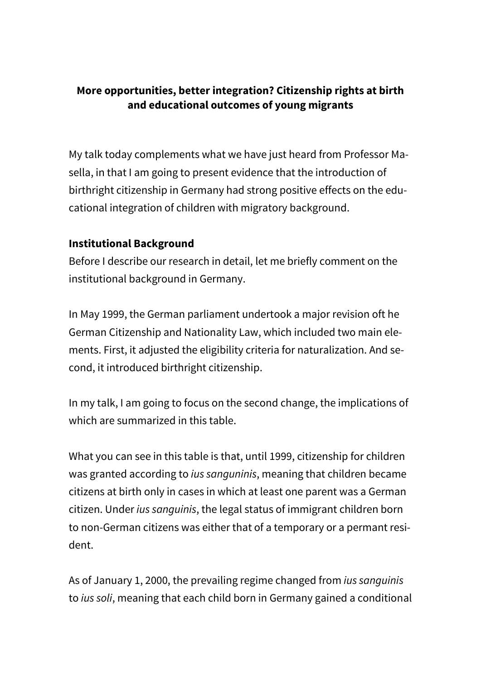### **More opportunities, better integration? Citizenship rights at birth and educational outcomes of young migrants**

My talk today complements what we have just heard from Professor Masella, in that I am going to present evidence that the introduction of birthright citizenship in Germany had strong positive effects on the educational integration of children with migratory background.

#### **Institutional Background**

Before I describe our research in detail, let me briefly comment on the institutional background in Germany.

In May 1999, the German parliament undertook a major revision oft he German Citizenship and Nationality Law, which included two main elements. First, it adjusted the eligibility criteria for naturalization. And second, it introduced birthright citizenship.

In my talk, I am going to focus on the second change, the implications of which are summarized in this table.

What you can see in this table is that, until 1999, citizenship for children was granted according to *ius sanguninis*, meaning that children became citizens at birth only in cases in which at least one parent was a German citizen. Under *ius sanguinis*, the legal status of immigrant children born to non-German citizens was either that of a temporary or a permant resident.

As of January 1, 2000, the prevailing regime changed from *ius sanguinis* to *ius soli*, meaning that each child born in Germany gained a conditional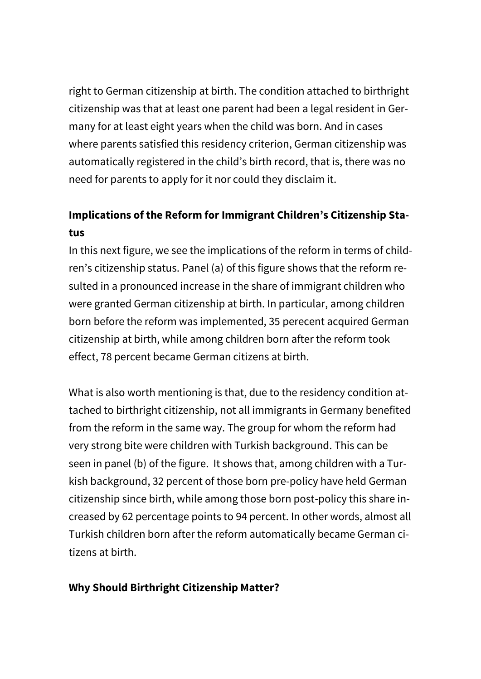right to German citizenship at birth. The condition attached to birthright citizenship was that at least one parent had been a legal resident in Germany for at least eight years when the child was born. And in cases where parents satisfied this residency criterion, German citizenship was automatically registered in the child's birth record, that is, there was no need for parents to apply for it nor could they disclaim it.

# **Implications of the Reform for Immigrant Children's Citizenship Status**

In this next figure, we see the implications of the reform in terms of children's citizenship status. Panel (a) of this figure shows that the reform resulted in a pronounced increase in the share of immigrant children who were granted German citizenship at birth. In particular, among children born before the reform was implemented, 35 perecent acquired German citizenship at birth, while among children born after the reform took effect, 78 percent became German citizens at birth.

What is also worth mentioning is that, due to the residency condition attached to birthright citizenship, not all immigrants in Germany benefited from the reform in the same way. The group for whom the reform had very strong bite were children with Turkish background. This can be seen in panel (b) of the figure. It shows that, among children with a Turkish background, 32 percent of those born pre-policy have held German citizenship since birth, while among those born post-policy this share increased by 62 percentage points to 94 percent. In other words, almost all Turkish children born after the reform automatically became German citizens at birth.

### **Why Should Birthright Citizenship Matter?**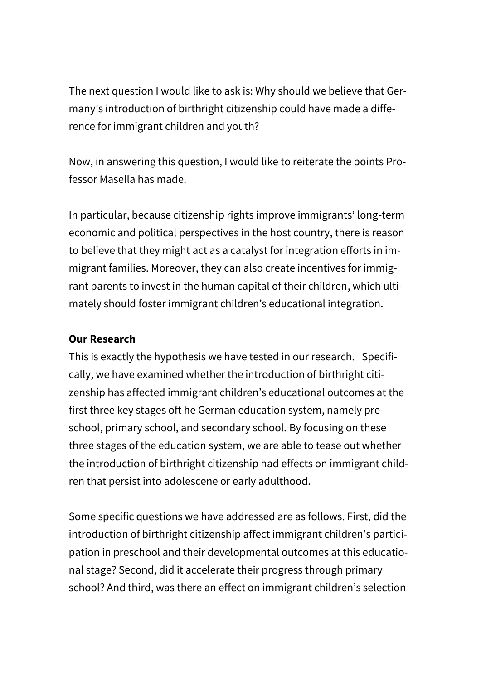The next question I would like to ask is: Why should we believe that Germany's introduction of birthright citizenship could have made a difference for immigrant children and youth?

Now, in answering this question, I would like to reiterate the points Professor Masella has made.

In particular, because citizenship rights improve immigrants' long-term economic and political perspectives in the host country, there is reason to believe that they might act as a catalyst for integration efforts in immigrant families. Moreover, they can also create incentives for immigrant parents to invest in the human capital of their children, which ultimately should foster immigrant children's educational integration.

#### **Our Research**

This is exactly the hypothesis we have tested in our research. Specifically, we have examined whether the introduction of birthright citizenship has affected immigrant children's educational outcomes at the first three key stages oft he German education system, namely preschool, primary school, and secondary school. By focusing on these three stages of the education system, we are able to tease out whether the introduction of birthright citizenship had effects on immigrant children that persist into adolescene or early adulthood.

Some specific questions we have addressed are as follows. First, did the introduction of birthright citizenship affect immigrant children's participation in preschool and their developmental outcomes at this educational stage? Second, did it accelerate their progress through primary school? And third, was there an effect on immigrant children's selection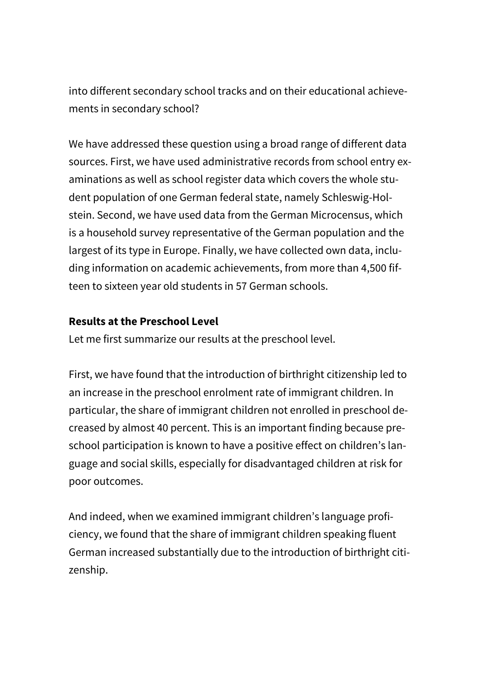into different secondary school tracks and on their educational achievements in secondary school?

We have addressed these question using a broad range of different data sources. First, we have used administrative records from school entry examinations as well as school register data which covers the whole student population of one German federal state, namely Schleswig-Holstein. Second, we have used data from the German Microcensus, which is a household survey representative of the German population and the largest of its type in Europe. Finally, we have collected own data, including information on academic achievements, from more than 4,500 fifteen to sixteen year old students in 57 German schools.

#### **Results at the Preschool Level**

Let me first summarize our results at the preschool level.

First, we have found that the introduction of birthright citizenship led to an increase in the preschool enrolment rate of immigrant children. In particular, the share of immigrant children not enrolled in preschool decreased by almost 40 percent. This is an important finding because preschool participation is known to have a positive effect on children's language and social skills, especially for disadvantaged children at risk for poor outcomes.

And indeed, when we examined immigrant children's language proficiency, we found that the share of immigrant children speaking fluent German increased substantially due to the introduction of birthright citizenship.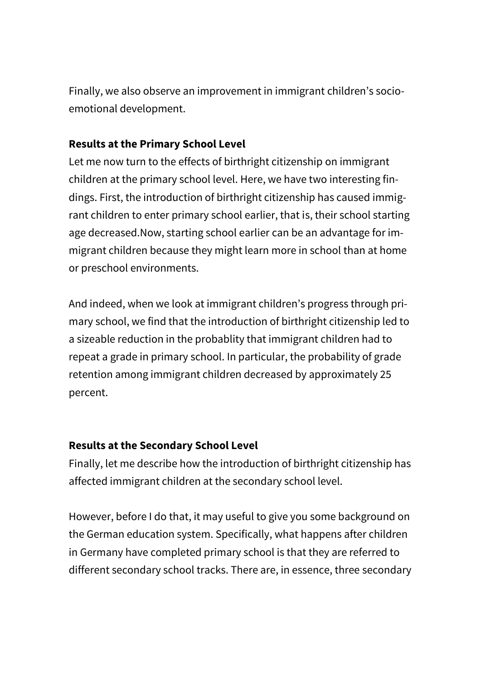Finally, we also observe an improvement in immigrant children's socioemotional development.

### **Results at the Primary School Level**

Let me now turn to the effects of birthright citizenship on immigrant children at the primary school level. Here, we have two interesting findings. First, the introduction of birthright citizenship has caused immigrant children to enter primary school earlier, that is, their school starting age decreased.Now, starting school earlier can be an advantage for immigrant children because they might learn more in school than at home or preschool environments.

And indeed, when we look at immigrant children's progress through primary school, we find that the introduction of birthright citizenship led to a sizeable reduction in the probablity that immigrant children had to repeat a grade in primary school. In particular, the probability of grade retention among immigrant children decreased by approximately 25 percent.

# **Results at the Secondary School Level**

Finally, let me describe how the introduction of birthright citizenship has affected immigrant children at the secondary school level.

However, before I do that, it may useful to give you some background on the German education system. Specifically, what happens after children in Germany have completed primary school is that they are referred to different secondary school tracks. There are, in essence, three secondary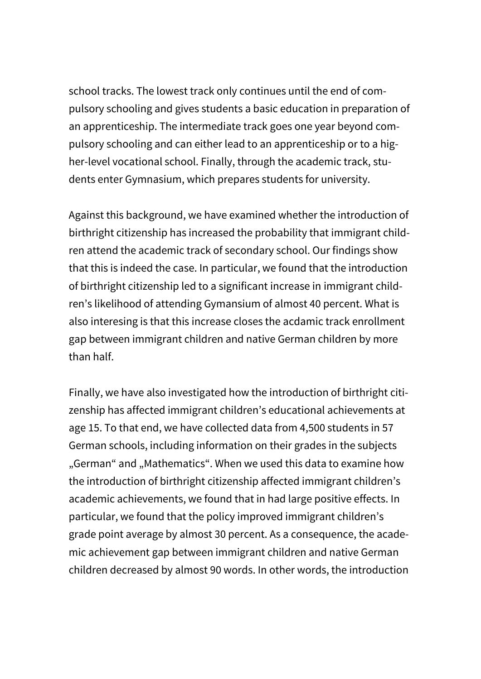school tracks. The lowest track only continues until the end of compulsory schooling and gives students a basic education in preparation of an apprenticeship. The intermediate track goes one year beyond compulsory schooling and can either lead to an apprenticeship or to a higher-level vocational school. Finally, through the academic track, students enter Gymnasium, which prepares students for university.

Against this background, we have examined whether the introduction of birthright citizenship has increased the probability that immigrant children attend the academic track of secondary school. Our findings show that this is indeed the case. In particular, we found that the introduction of birthright citizenship led to a significant increase in immigrant children's likelihood of attending Gymansium of almost 40 percent. What is also interesing is that this increase closes the acdamic track enrollment gap between immigrant children and native German children by more than half.

Finally, we have also investigated how the introduction of birthright citizenship has affected immigrant children's educational achievements at age 15. To that end, we have collected data from 4,500 students in 57 German schools, including information on their grades in the subjects "German" and "Mathematics". When we used this data to examine how the introduction of birthright citizenship affected immigrant children's academic achievements, we found that in had large positive effects. In particular, we found that the policy improved immigrant children's grade point average by almost 30 percent. As a consequence, the academic achievement gap between immigrant children and native German children decreased by almost 90 words. In other words, the introduction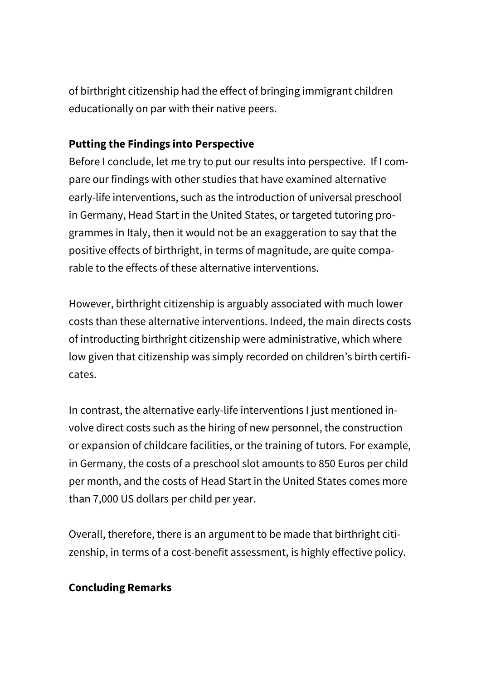of birthright citizenship had the effect of bringing immigrant children educationally on par with their native peers.

## **Putting the Findings into Perspective**

Before I conclude, let me try to put our results into perspective. If I compare our findings with other studies that have examined alternative early-life interventions, such as the introduction of universal preschool in Germany, Head Start in the United States, or targeted tutoring programmes in Italy, then it would not be an exaggeration to say that the positive effects of birthright, in terms of magnitude, are quite comparable to the effects of these alternative interventions.

However, birthright citizenship is arguably associated with much lower costs than these alternative interventions. Indeed, the main directs costs of introducting birthright citizenship were administrative, which where low given that citizenship was simply recorded on children's birth certificates.

In contrast, the alternative early-life interventions I just mentioned involve direct costs such as the hiring of new personnel, the construction or expansion of childcare facilities, or the training of tutors. For example, in Germany, the costs of a preschool slot amounts to 850 Euros per child per month, and the costs of Head Start in the United States comes more than 7,000 US dollars per child per year.

Overall, therefore, there is an argument to be made that birthright citizenship, in terms of a cost-benefit assessment, is highly effective policy.

# **Concluding Remarks**